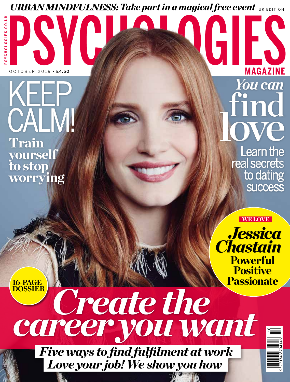# *URBAN MINDFULNESS: Take part in a magical free event* UK EDITION

SYCHOLOGIES.CO.UK **PSYCHOLOGIES.CO.UK**

 $OCTOBER 2019 \cdot £4.50$ 

Train yourself to stop worrying KEEP CALM!

**MAGAZINE** *You can* find love les Learn the

ES

real secrets to dating **success** 

**WE LOVE** 

*Jessica* 

*Chastain* 

**Powerful** 

**Positive** 

16-PAGE DOSSIER

 *Create the career you want* **Passionate** 

*Five ways to find fulfilment at work Love your job! We show you how*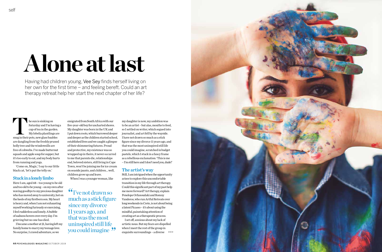# **Alone at last**

Having had children young, Vee Sey finds herself living on her own for the first time – and feeling bereft. Could an art therapy retreat help her start the next chapter of her life?

he sun is sinking on<br>
Saturday and I'm having<br>
cup of tea in the garden.<br>
My lobelia plantlings ar<br>
snug in their pots, new glass baubles Saturday and I'm having a cup of tea in the garden. My lobelia plantlings are are dangling from the freshly pruned holly tree and the windowsills are free of cobwebs. I've made butternut squash and apple soup for supper, but it's too early to eat, and my body hurts from running and yoga.

'Come on, Magic,' I say to our little black cat, 'let's put the telly on.'

### Stuck in a lonely limbo

Here I am, aged 48 – too young to be old and too old to be young – on my own after waving goodbye to my precious daughter who has moved away to university, hot on the heels of my firstborn son. My heart is heavy and, when I am not exhausting myself working furiously or exercising, I feel rudderless and lonely. A bubble of sadness hovers over every day. I'm grieving but no one has died.

Still, I am intrigued when the opportunity arises to explore this uncomfortable transition in my life through art therapy. Could this significant part of my past help me move forward? Art therapy, explain Penelope Orfanoudaki and Romny Vandoros, who run Artful Retreats over long weekends in Crete, is not about being a latent Picasso – it's about using the mindful, painstaking attention of creating art as a therapeutic process. I set off, anxious about my lack of artistic nous. But my fears are dispelled when I meet the rest of the group in extistic nous. But my fears are dispelled<br>
when I meet the rest of the group in<br>
exquisite surroundings – a diverse >>>



I became a mother at 21, having left my family home to marry my teenage love. No surprise, I craved adventure, so we

emigrated from South Africa with our five-year-old boy for uncharted shores. My daughter was born in the UK and I put down roots, which burrowed deeper and deeper as the children started school, established lives and we caught a glimpse of their shimmering futures. Proud and protective, my existence was so wrapped up in theirs, it never occurred to me that parents die, relationships end, beloved sisters, still living in Cape Town, won't be joining me for ice cream on seaside jaunts, and children… well, children grow up and leave.

"I've not drawn so<br>much as a stick figure much as a stick figure since my divorce 11 years ago, and that was the most uninspired still life you could imagine

When I was a younger woman, like

my daughter is now, my ambition was to be an artist – but alas, mouths to feed, so I settled on writer, which segued into journalist, and art fell by the wayside. I have not drawn so much as a stick figure since my divorce 11 years ago, and that was the most uninspired still life you could imagine, scratched in budget pastels, which I stuck in a fancy frame as a rebellious exclamation: 'This is me – I'm still here and I don't need you, dude!'

#### The artist's way